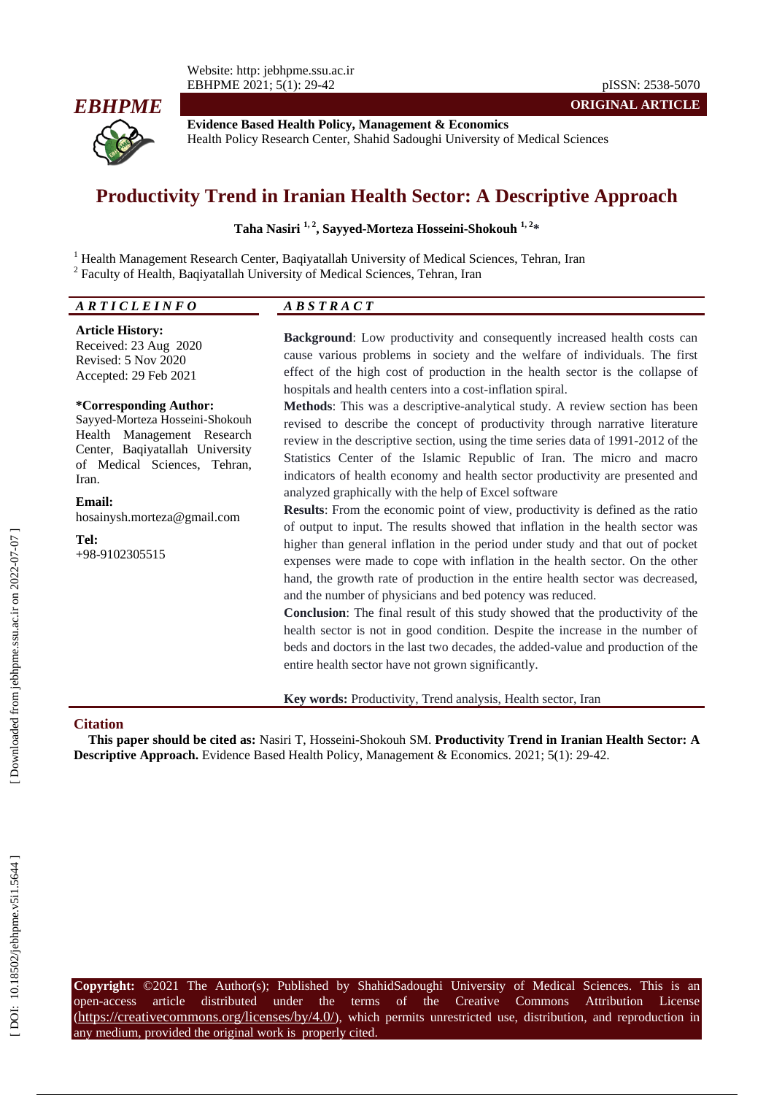

**Evidence Based Health Policy, Management & Economics** Health Policy Research Center, Shahid Sadoughi University of Medical Sciences

# **Productivity Trend in Iranian Health Sector: A Descriptive Approach**

#### **Taha Nasiri 1, 2, Sayyed -Morteza Hosseini -Shokouh 1, 2 \***

<sup>1</sup> Health Management Research Center, Baqiyatallah University of Medical Sciences, Tehran, Iran <sup>2</sup> Faculty of Health, Baqiyatallah University of Medical Sciences, Tehran, Iran

# *A R T I C L E I N F O A B S T R A C T*

#### **Article History:**

Received: 23 Aug 2020 Revised: 5 Nov 2020 Accepted: 29 Feb 202 1

#### **\*Corresponding Author:**

Sayyed -Morteza Hosseini -Shokouh Health Management Research Center, Baqiyatallah University of Medical Sciences, Tehran, Iran .

#### **Email:**

hosainysh.morteza@gmail.com

**Tel:** +98-9102305515 **Background**: Low productivity and consequently increased health costs can cause various problems in society and the welfare of individuals. The first effect of the high cost of production in the health sector is the collapse of hospitals and health centers into a cost -inflation spiral.

**Methods**: This was a descriptive -analytical study. A review section has been revised to describe the concept of productivity through narrative literature review in the descriptive section, using the time series data of 1991 -2012 of the Statistics Center of the Islamic Republic of Iran. The micro and macro indicators of health economy and health sector productivity are presented and analyzed graphically with the help of Excel software

**Results**: From the economic point of view, productivity is defined as the ratio of output to input. The results showed that inflation in the health sector was higher than general inflation in the period under study and that out of pocket expenses were made to cope with inflation in the health sector. On the other hand, the growth rate of production in the entire health sector was decreased, and the number of physicians and bed potency was reduced.

**Conclusion**: The final result of this study showed that the productivity of the health sector is not in good condition. Despite the increase in the number of beds and doctors in the last two decades, the added -value and production of the entire health sector have not grown significantly.

**Key words:** Productivity, Trend analysis, Health sector, Iran

#### **Citation**

This paper should be cited as: Nasiri T, Hosseini-Shokouh SM. Productivity Trend in Iranian Health Sector: A Descriptive Approach. Evidence Based Health Policy, Management & Economics. 2021; 5(1): 29-42.

**Copyright:** ©2021 The Author(s); Published by ShahidSadoughi University of Medical Sciences. This is an open-access -access article distributed under the terms of the Creative Commons Attribution License (https://creativecommons.org/licenses/by/4.0/), which permits unrestricted use, distribution, and reproduction in any medium, provided the original work is properly cited.

**ORIGINAL ARTICLE**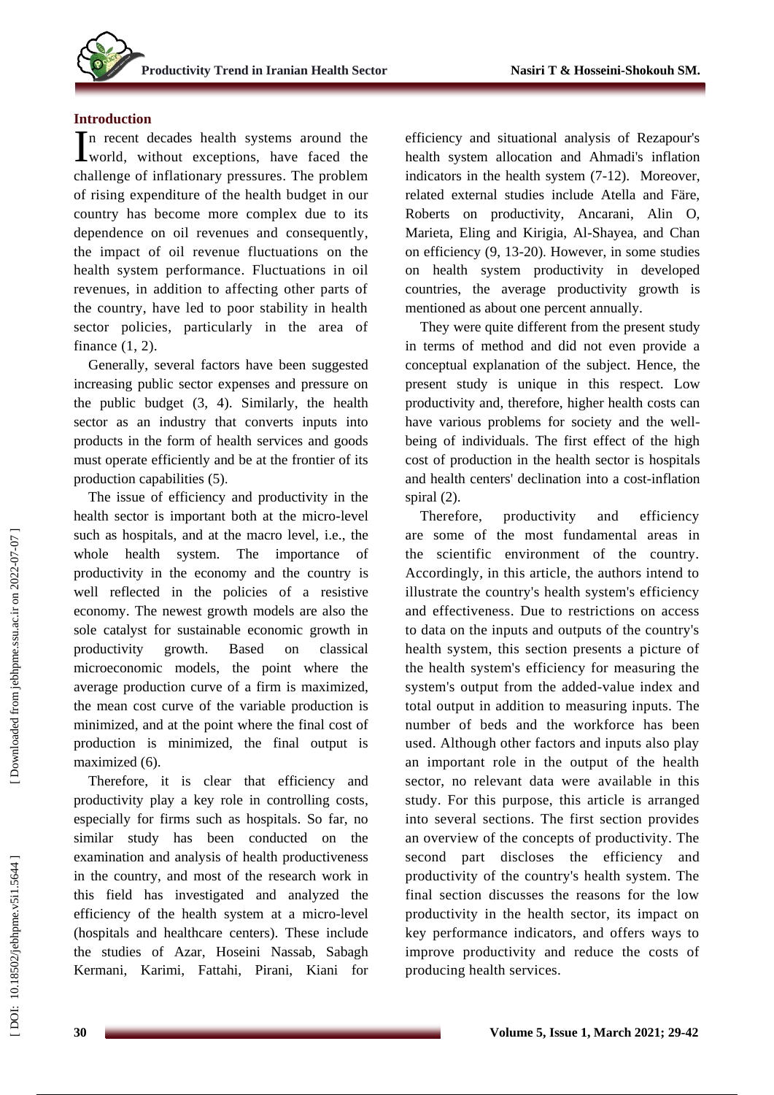# **Introduction**

In recent decades health systems around the world, without exceptions, have faced the **L**world, without exceptions, have faced the challenge of inflationary pressures. The problem of rising expenditure of the health budget in our country has become more complex due to its dependence on oil revenues and consequently , the impact of oil revenue fluctuations on the health system performance. Fluctuations in oil revenues, in addition to affecting other parts of the country, have led to poor stability in health sector policies , particularly in the area of finance (1, 2).

Generally, several factors have been suggested increasing public sector expenses and pressure on the public budget (3, 4). Similarly, the health sector as an industry that converts inputs into products in the form of health services and goods must operate efficiently and be at the frontier of its production capabilities (5) .

The issue of efficiency and productivity in the health sector is important both at the micro -level such as hospitals , and at the macro level, i.e., the whole health system. The importance of productivity in the economy and the country is well reflected in the policies of a resistive economy. The newest growth models are also the sole catalyst for sustainable economic growth in productivity growth. Based on classical microeconomic models , the point where the average production curve of a firm is maximized, the mean cost curve of the variable production is minimized , and at the point where the final cost of production is minimized, the final output is maximized (6).

Therefore, it is clear that efficiency and productivity play a key role in controlling costs , especially for firms such as hospitals. So far, no similar study has been conducted on the examination and analysis o f health productiveness in the country, and most of the research work in this field has investigated and analyzed the efficiency of the health system at a micro -level (hospitals and healthcare centers ). These include the studies of Azar, Hoseini Nassab, Sabagh Kermani, Karimi, Fattahi, Pirani, Kiani for

efficiency and situational analysis of Rezapour's health system allocation and Ahmadi's inflation indicators in the health system (7 -12). Moreover, related external studies include Atella and Färe, Roberts on productivity, Ancarani, Alin O, Marieta, Eling and Kirigia, Al -Shayea, and Chan on efficiency (9, 13 -20) . However, in some studies on health system productivity in developed countries , the average productivity growth is mentioned as about one percent annually.

They were quite different from the present study in terms of method and did not even provide a conceptual explanation of the subject. Hence, the present study is unique in this respect. Low productivity and , therefore , higher health costs can have various problems for society and the wellbeing of individuals. The first effect of the high cost of production in the health sector i s hospitals and health centers' declination into a cost -inflation spiral (2).

Therefore, productivity and efficiency are some of the most fundamental areas in the scientific environment of the country. Accordingly, in this article, the authors intend to illustrate the country's health system's efficiency and effectiveness. Due to restrictions on access to data on the inputs and outputs of the country's health system, this section presents a picture of the health system's efficiency for measuring the system's output from the added -value index and total output in addition to measuring inputs. The number of beds and the workforce has been used. Although other factors and inputs also play an important role in the output of the health sector, no relevant data were available in this study. For this purpose, this article is arranged into several sections. The first section provides an overview of the concepts of productivity. The second part discloses the efficiency and productivity of the country's health system. The final section discusses the reasons for the low productivity in the health sector, its impact on key performance indicators, and offers ways to improve productivity and reduce the costs of producing health services.

DOI: 10.18502/jebhpme.v5i1.5644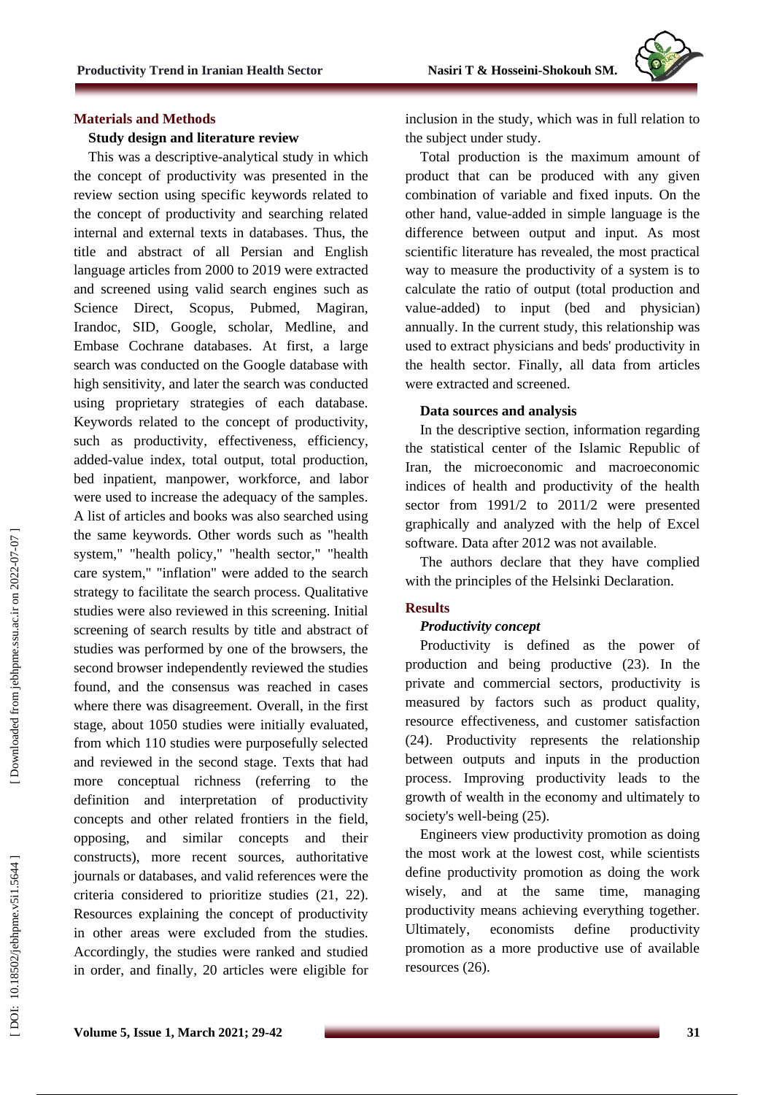

#### **Materials and Methods**

## **Study design and literature review**

This was a descriptive -analytical study in which the concept of productivity was presented in the review section using specific keywords related to the concept of productivity and searching related internal and external texts in databases. Thus, the title and abstract of all Persian and English language articles from 2000 to 2019 were extracted and screened using valid search engines such as Science Direct, Scopus, Pubmed, Magiran, Irandoc, SID, Google, scholar, Medline, and Embase Cochran e databases. At first, a large search was conducted on the Google database with high sensitivity, and later the search was conducted using proprietary strategies of each database. Keywords related to the concept of productivity, such as productivity, effectiveness, efficiency, added -value index, total output, total production, bed inpatient, manpower, workforce , and labor were used to increase the adequacy of the samples. A list of articles and books was also searched using the same keywords. Other words such as "health system," "health policy," "health sector," "health care system," "inflation" were added to the search strategy to facilitate the search process. Qualitative studies were also reviewed in this screening. Initial screening of search results by title and abstract of studies was performed by one of the browsers, the second browser independently reviewed the studies found, and the consensus was reached in cases where there was disagreement. Overall, in the first stage, about 1050 studies were initially evaluated , from which 110 studies were purposefully selected and reviewed in the second stage. Texts that had more conceptual richness (referring to the definition and interpretation of productivity concepts and other related frontiers in the field, opposing, and similar concepts and their constructs), more recent sources, authoritative journals or databases, and valid references were the criteria considered to prioritize studies (21, 22). Resources explaining the concept of productivity in other areas were excluded from the studies. Accordingly, the studies were ranked and studied in order, and finally , 20 articles were eligible for

inclusion in the study , which was in full relation to the subject under study.

Total production is the maximum amount of product that can be produced with any given combination of variable and fixed inputs. On the other hand, value -added in simple language is the difference between output and input . As most scientific literature has revealed, the most practical way to measure the productivity of a system is to calculate the ratio of output (total production and value -added) to input (bed and physician) annually. In the current study, this relationship was used to extract physicians and beds' productivity in the health sector . Finally, all data from articles were extracted and screened.

### **Data sources and analysis**

In the descriptive section, information regarding the statistical center of the Islamic Republic of Iran, the microeconomic and macroeconomic indices of health and productivity of the health sector from 1991/2 to 2011/2 were presented graphically and analyzed with the help of Excel software. Data after 2012 was not available .

The authors declare that they have complied with the principles of the Helsinki Declaration.

### **Result s**

#### *Productivity concept*

Productivity is defined as the power of production and being productive (23). In the private and commercial sectors, productivity is measured by factors such as product quality, resource effectiveness, and customer satisfaction (24). Productivity represents the relationship between out puts and inputs in the production process. Improving productivity leads to the growth of wealth in the economy and ultimately to society's well -being (25).

Engineers view productivity promotion as doing the most work at the lowest cost, while scientists define productivity promotion as doing the work wisely, and at the same time , managing productivity means achieving everything together. Ultimately, economists define productivity promotion as a more productive use of available resources (26).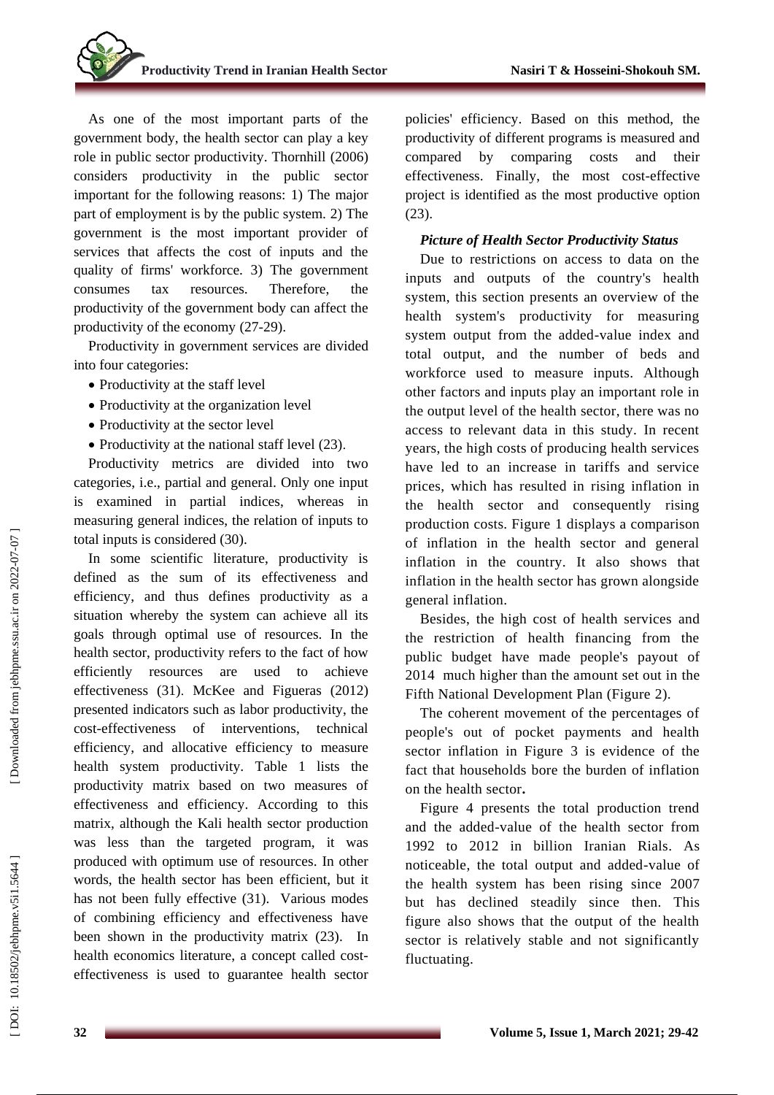As one of the most important parts of the government body, the health sector can play a key role in public sector productivity. Thornhill (2006) considers productivity in the public sector important for the following reasons: 1) The major part of employment is by the public system. 2) The government is the most important provider of services that affects the cost of inputs and the quality of firms' workforce. 3) The government consumes tax resources. Therefore, the productivity of the government body can affect the productivity of the economy (27 -29).

Productivity in government services are divided into four categories:

- Productivity at the staff level
- Productivity at the organization level
- Productivity at the sector level
- Productivity at the national staff level (23).

Productivity metrics are divided into two categories, i.e., partial and general. Only one input is examined in partial indices, whereas in measuring general indices, the relation of inputs to total inputs is considered (30) .

In some scientific literature, productivity is defined as the sum of its effectiveness and efficiency, and thus defines productivity as a situation whereby the system can achieve all its goals through optimal use of resources. In the health sector, productivity refers to the fact of how efficiently resources are used to achieve effectiveness (31) . McKee and Figueras (2012) presented indicators such as labor productivity, the cost -effectiveness of interventions, technical efficiency, and allocative efficienc y to measure health system productivity. Table 1 lists the productivity matrix based on two measures of effectiveness and efficiency. According to this matrix, although the Kali health sector production was less than the targeted program , it was produced with optimum use of resources . In other words, the health sector has been efficient , but it has not been fully effective (31). Various modes of combining efficiency and effectiveness have been shown in the productivity matrix (23). In health economics literature, a concept called cost effectiveness is used to guarantee health sector

policies' efficiency. Based on this method, the productivity of different programs is measured and compared by comparing costs and their effectiveness. Finally, the most cost -effective project is identified as the most productive option (23).

## *Picture of Health Sector Productivity Status*

Due to restrictions on access to data on the inputs and outputs of the country's health system, this section presents an overview of the health system's productivity for measuring system output from the added -value index and total output, and the number of beds and workforce used to measure inputs. Although other factors and inputs play an important role in the output level of the health sector, there was no access to relevant data in this study. In recent years, the high costs of producing health services have led to an increase in tariffs and service prices, which has resulted in rising inflation in the health sector and consequently rising production costs. Figure 1 displays a comparison of inflation in the health sector and general inflation in the country. It also shows that inflation in the health sector has grown alongside general inflation.

Besides, the high cost of health services and the restriction of health financing from the public budget have made people's payout of 2014 much higher than the amount set out in the Fifth National Development Plan (Figure 2).

The coherent movement of the percentages of people's out of pocket payments and health sector inflation in Figure 3 is evidence of the fact that households bore the burden of inflation on the health sector **.**

Figure 4 presents the total production trend and the added -value of the health sector from 1992 to 2012 in billion Iranian Rials. As noticeable, the total output and added -value of the health system has been rising since 2007 but has declined steadily since then. This figure also shows that the output of the health sector is relatively stable and not significantly fluctuating.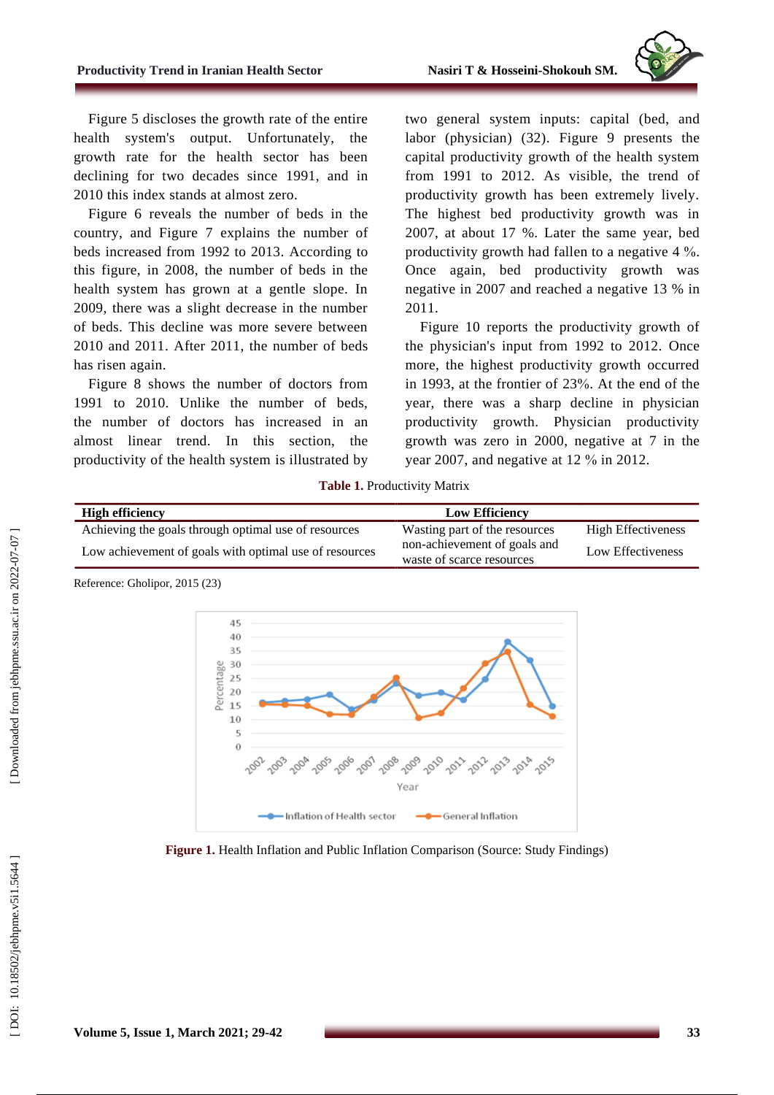

Figure 5 discloses the growth rate of the entire health system's output. Unfortunately, the growth rate for the health sector has been declining for two decades since 1991, and in 2010 this index stands at almost zero.

Figure 6 reveals the number of beds in the country, and Figure 7 explains the number of beds increased from 1992 to 2013. According to this figure, in 2008 , the number of beds in the health system has grown at a gentle slope. In 2009, there was a slight decrease in the number of beds. This decline was more severe between 2010 and 2011. After 2011, the number of beds has risen again .

Figure 8 shows the number of doctors from 1991 to 2010. Unlike the number of beds, the number of doctors has increased in an almost linear trend. In this section, the productivity of the health system is illustrated by

two general system inputs: capital (bed, and labor (physician ) (32) . Figure 9 presents the capital productivity growth of the health system from 1991 to 2012. As visible, the trend of productivity growth has been extremely lively. The highest bed productivity growth was in 2007, at about 17 %. Later the same year, bed productivity growth had fallen to a negative 4 %. Once again, bed productivity growth was negative in 2007 and reached a negative 13 % in 2011.

Figure 10 reports the productivity growth of the physician's input from 1992 to 2012. Once more, the highest productivity growth occurred in 1993, at the frontier of 2 3 %. At the end of the year, there was a sharp decline in physician productivity growth. Physician productivity growth was zero in 2000, negative at 7 in the year 2007, and negative at 12 % in 2012.

**Table 1 .** Productivity Matrix

| <b>High efficiency</b>                                 | <b>Low Efficiency</b>                                     |                    |
|--------------------------------------------------------|-----------------------------------------------------------|--------------------|
| Achieving the goals through optimal use of resources   | Wasting part of the resources                             | High Effectiveness |
| Low achievement of goals with optimal use of resources | non-achievement of goals and<br>waste of scarce resources | Low Effectiveness  |





**Figure 1.** Health Inflation and Public Inflation Comparison (Source: Study Findings)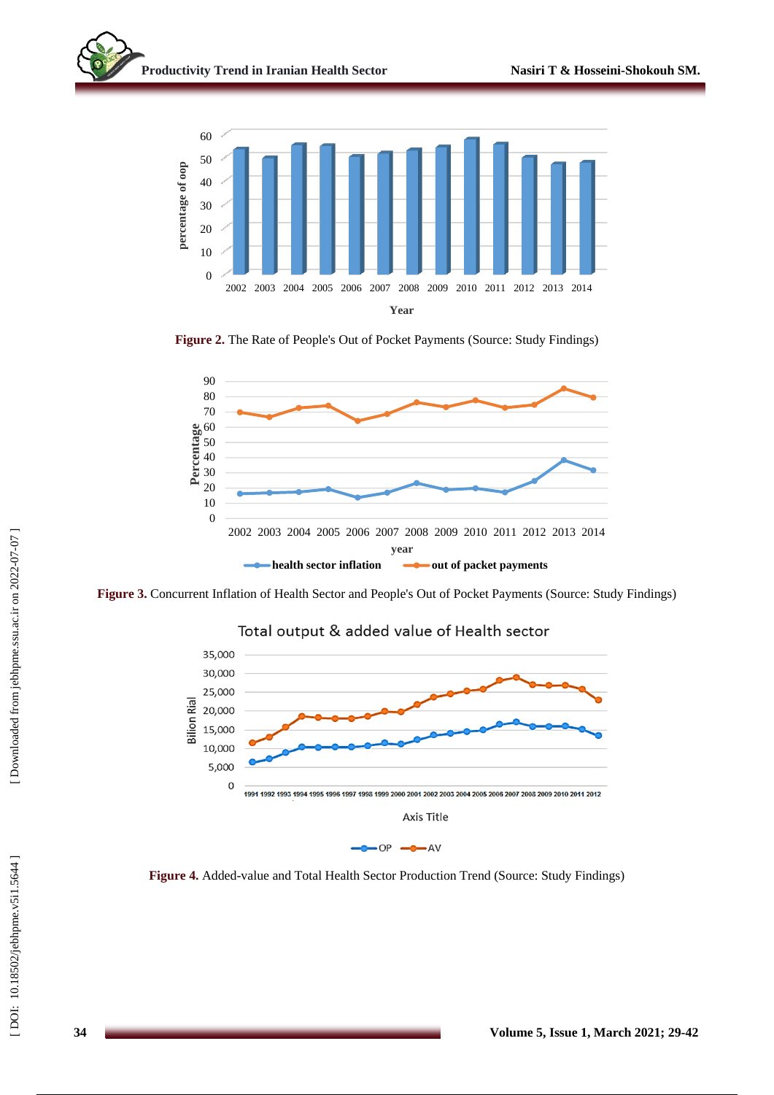

Figure 2. The Rate of People's Out of Pocket Payments (Source: Study Findings)



Figure 3. Concurrent Inflation of Health Sector and People's Out of Pocket Payments (Source: Study Findings)



Figure 4. Added-value and Total Health Sector Production Trend (Source: Study Findings)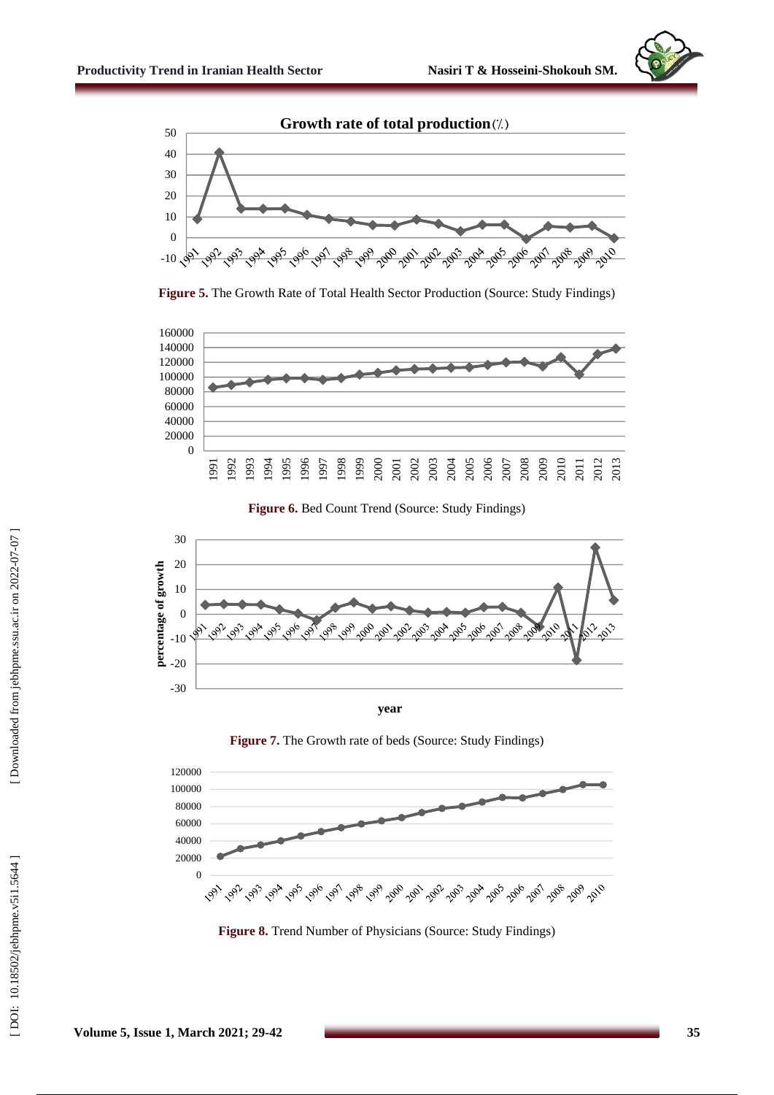



Figure 5. The Growth Rate of Total Health Sector Production (Source: Study Findings)



Figure 6. Bed Count Trend (Source: Study Findings)



**year**

**Figure 7 .** The Growth rate of beds (Source: Study Findings)



**Figure 8 .** Trend Number of Physicians (Source: Study Findings)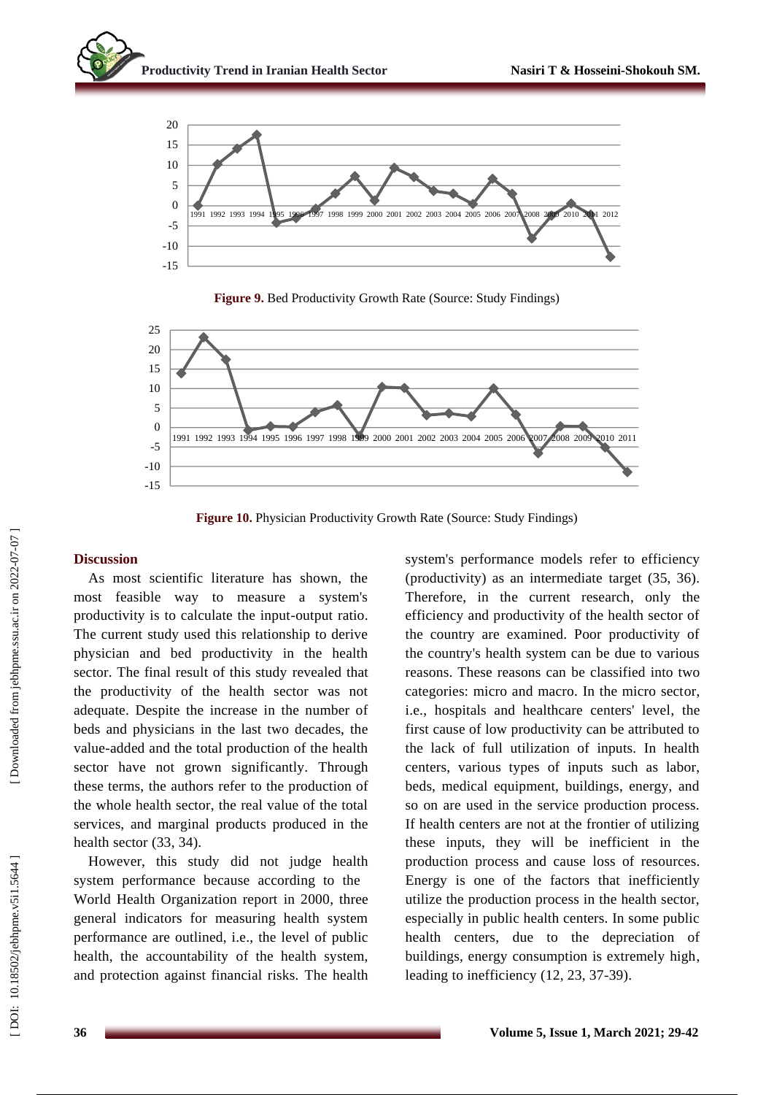

**Figure 9 .** Bed Productivity Growth Rate (Source: Study Findings)



**Figure 10 .** Physician Productivity Growth Rate (Source: Study Findings)

### **Discussion**

As most scientific literature has shown, the most feasible way to measure a system's productivity is to calculate the input -output ratio. The current study used this relationship to derive physician and bed productivity in the health sector. The final result of this study revealed that the productivity of the health sector was not adequate. Despite the increase in the number of beds and physician s in the last two decades, the value -added and the total production of the health sector have not grown significantly. Through these terms, the authors refer to the production of the whole health sector, the real value of the total services, and marginal products produced in the health sector (33, 34).

However, this study did not judge health system performance because according to the World Health Organization report in 2000, three general indicators for measuring health system performance are outlined, i.e., the level of public health, the accountability of the health system, and protection against financial risks. The health system's performance models refer to efficiency (productivity) as an intermediate target (35, 36). Therefore, in the current research, only the efficiency and productivity of the health sector of the country are examined. Poor productivity of the country's health system can be due to various reasons. These reasons can be classified into two categories: micro and macro. In the micro sector, i.e., hospitals and healthcare centers' level, the first cause of low productivity can be attributed to the lack of full utilization of inputs. In health centers, various types of inputs such as labor, beds, medical equipment, buildings, energy, and so on are used in the service production process. If health centers are not at the frontier of utilizing these inputs, they will be inefficient in the production process and cause loss of resource s. Energy is one of the factors that inefficiently utilize the production process in the health sector, especially in public health centers. In some public health centers , due to the depreciation of buildings, energy consumption is extremely high , leading to inefficiency (12, 23, 37 -39).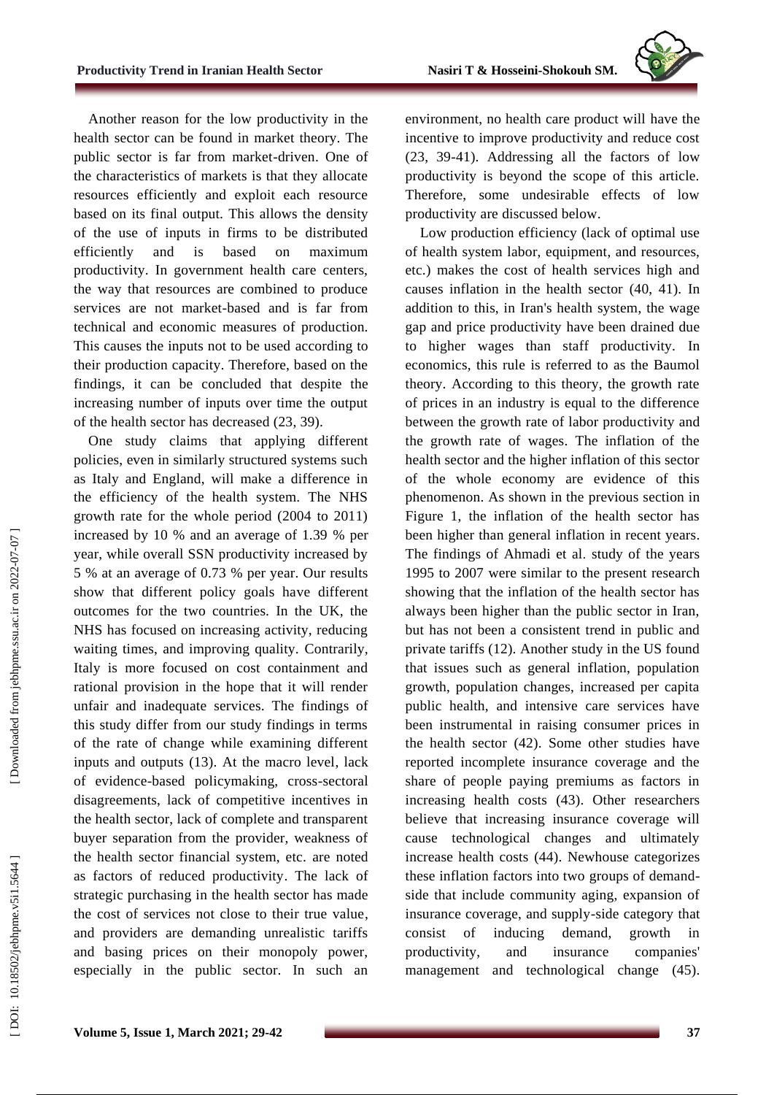

Another reason for the low productivity in the health sector can be found in market theory. The public sector is far from market -driven. One of the characteristics of markets is that they allocate resources efficiently and exploit each resource based on its final output. This allows the density of the use of inputs in firms to be distributed efficiently and is based on maximum productivity. In government health care centers, the way that resources are combined to produce services are not market -based and is far from technical and economic measures of production. This causes the inputs not to be used according to their production capacity. Therefore, based on the findings, it can be concluded that despite the increasing number of inputs over time the output of the health sector has decreased (23, 39).

One study claims that applying different policies, even in similarly structured systems such as Italy and England, will make a difference in the efficiency of the health system. The NHS growth rate for the whole period (2004 to 2011) increased by 10 % and an average of 1.39 % per year, while overall SSN productivity increased by 5 % at an average of 0.73 % per year. Our results show that different policy goals have different outcomes for the two countries. In the UK, the NHS has focused on increasing activity, reducing waiting times, and improving quality. Contrarily, Italy is more focused on cost containment and rational provision in the hope that it will render unfair and inadequate services. The findings of this study differ from our study findings in terms of the rate of change while examining different inputs and outputs (13). At the macro level, lack of evidence -based policymaking, cross -sectoral disagreements, lack of competitive incentives in the health sector, lack of complete and transparent buyer separation from the provider, weakness of the health sector financial system, etc. are noted as factors of reduced productivity. The lack of strategic purchasing in the health sector has made the cost of services not close to their true value , and providers are demanding unrealistic tariffs and basing prices on their monopoly power, especially in the public sector. In such an

environment, no health care product will have the incentive to improve productivity and reduce cost (23, 39 -41). Addressing all the factors of low productivity is beyond the scope of this article. Therefore, some undesirable effects of low productivity are discussed below .

Low production efficiency (lack of optimal use of health system labor, equipment , and resources, etc.) makes the cost of health services high and causes inflation in the health sector (40, 41). In addition to this, in Iran's health system, the wage gap and price productivity have been drained due to higher wages than staff productivity. In economics, this rule is referred to as the Baumol theory. According to this theory, the growth rate of prices in an industry is equal to the difference between the growth rate of labor productivity and the growth rate of wages. The inflation of the health sector and the higher inflation of this sector of the whole economy are evidence of this phenomenon. As shown in the previous section in Figure 1, the inflation of the health sector has been higher than general inflation in recent years. The findings of Ahmadi et al . study of the years 1995 to 2007 were similar to the present research showing that the inflation of the health sector has always been higher than the public sector in Iran, but ha s not been a consistent trend in public and private tariffs (12). Another study in the US found that issues such as general inflation, population growth, population changes, increased per capita public health, and intensive care services have been instrumental in raising consumer prices in the health sector (42). Some other studies have reported incomplete insurance coverage and the share of people paying premiums as factors in increasing health costs (43). Other researchers believe that increasing insurance coverage will cause technological changes and ultimately increase health costs (44). Newh ous e categorizes these inflation factors into two groups of demand side that include community aging, expansion of insurance coverage, and supply -side category that consist of inducing demand, growth in productivity, and insurance companies' management and technological change (45).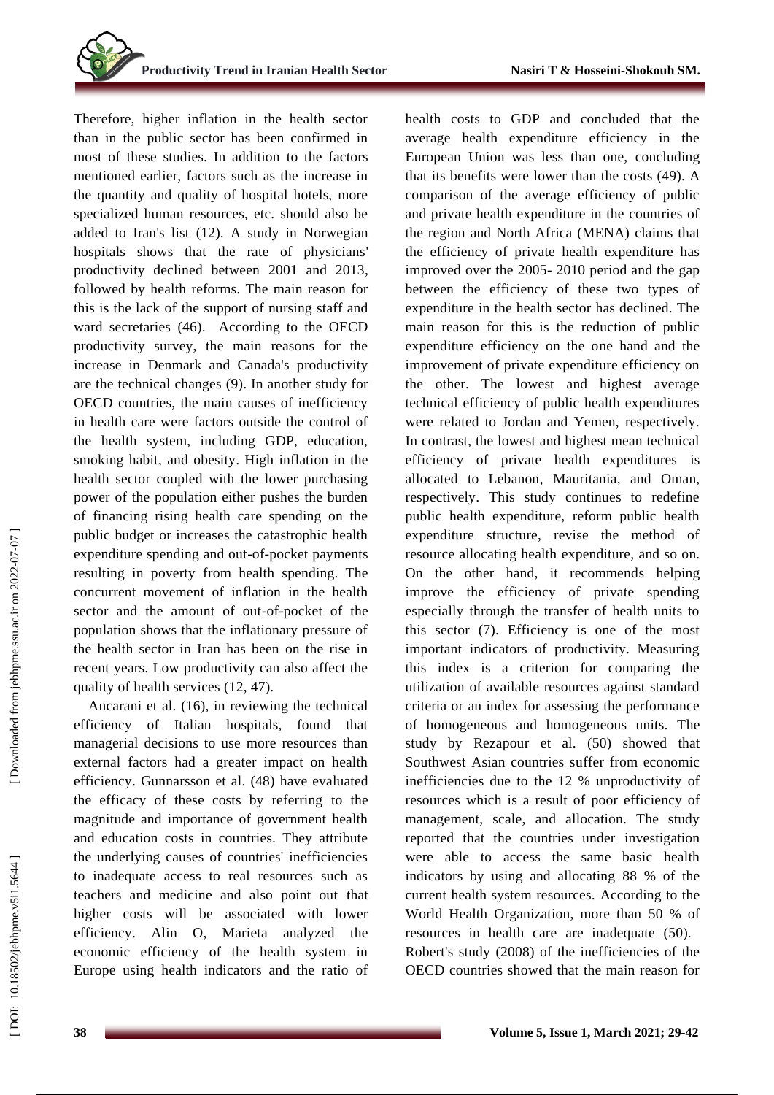Therefore, higher inflation in the health sector than in the public sector has been confirmed in most of these studies. In addition to the factors mentioned earlier, factors such as the increase in the quantity and quality of hospital hotels, more specialized human resources, etc. should also be added to Iran's list (12). A study in Norwegian hospitals shows that the rate of physicians' productivity declined between 2001 and 2013 , followed by health reforms. The main reason for this is the lack of the support of nursing staff and ward secretaries (46). According to the OECD productivity survey, the main reasons for the increase in Denmark and Canada's productivity are the technical changes (9). In another study for OECD countries, the main causes of inefficiency in health care were factors outside the control of the health system, including GDP, education, smoking habit , and obesity . High inflation in the health sector coupled with the lower purchasing power of the population either pushes the burden of financing rising health care spending on the public budget or increases the catastrophic health expenditure spending and out -of -pocket payments resulting in poverty from health spending. The concurrent movement of inflation in the health sector and the amount of out -of -pocket of the population shows that the inflationary pressure of the health sector in Iran has been on the rise in recent years. Low productivity can also affect the quality of health services (12, 47).

Ancarani et al. (16) , in reviewing the technical efficiency of Italian hospitals, found that managerial decisions to use more resources than external factors had a greater impact on health efficiency. Gunnarsson et al . (48) have evaluated the efficacy of these costs by referring to the magnitude and importance of government health and education costs in countries. They attribute the underlying causes of countries' inefficiencies to inadequate access to real resources such as teachers and medicine and also point out that higher costs will be associated with lower efficiency. Alin O, Marieta analyzed the economic efficiency of the health system in Europe using health indicators and the ratio of

health costs to GDP and concluded that the average health expenditure efficiency in the European Union was less than one, concluding that its benefits were lower than the cost s (49). A comparison of the average efficiency of public and private health expenditure in the countries of the region and North Africa (MENA) claims that the efficiency of private health expenditure has improved over the 2005 - 2010 period and the gap between the efficiency of these two types of expenditure in the health sector has declined. The main reason for this is the reduction of public expenditure efficiency on the one hand and the improvement of private expenditure efficiency on the other. The lowest and highest average technical efficiency of public health expenditures were related to Jordan and Yemen, respectively. In contrast, the lowest and highest mean technical efficiency of private health expenditures is allocated to Lebanon , Mauritania , and Oman, respectively. This study continues to redefine public health expenditure, reform public health expenditure structure, revise the method of resource allocating health expenditure , and so on. On the other hand, it recommend s helping improve the efficiency of private spending especially through the transfer of health units to this sector (7). Efficiency is one of the most important indicators of productivity. Measuring this index is a criterion for comparing the utilization of available resources against standard criteria or an index for assessing the performance of homogeneous and homogeneous units. The study by Rezapour et al . (50) showed that Southwest Asian countries suffer from economic inefficiencies due to the 12 % unproductivity of resources which is a result of poor efficiency of management, scale , and allocation. The study reported that the countries under investigation were able to access the same basic health indicators by using and allocating 88 % of the current health system resources. According to the World Health Organization, more than 50 % of resources in health care are inadequate (50). Robert's study (2008) of the inefficiencies of the OECD countries showed that the main reason for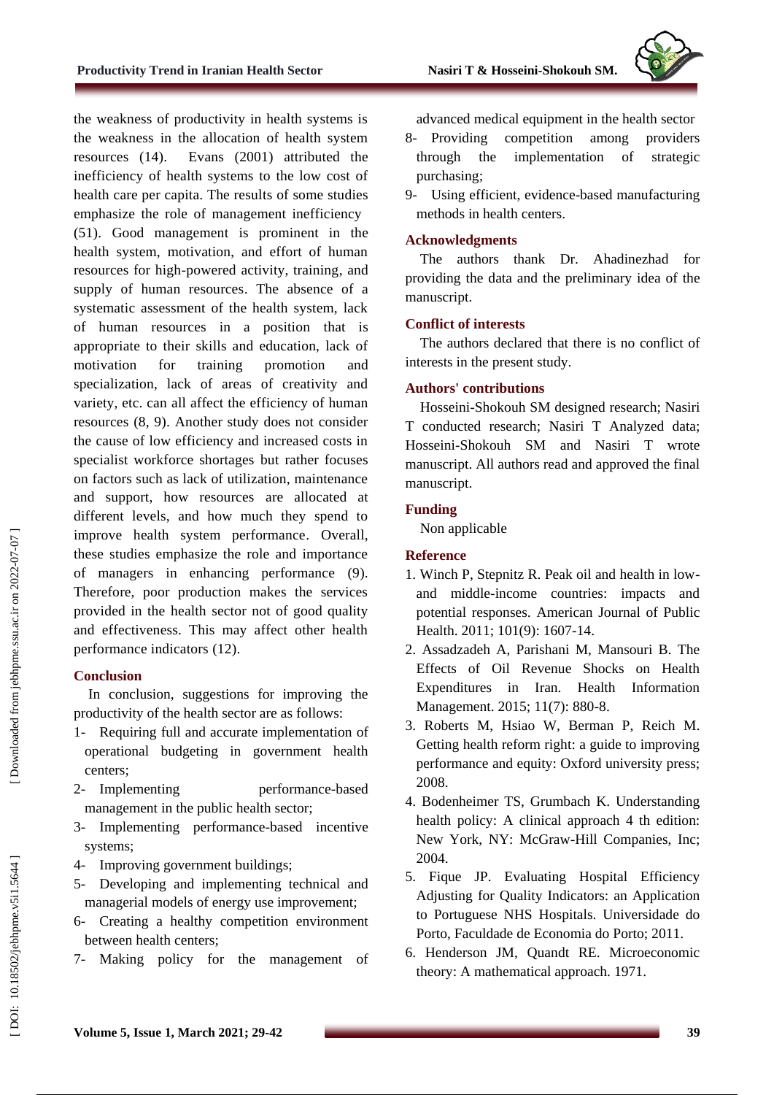

the weakness of productivity in health systems is the weakness in the allocation of health system resources (14). Evans (2001) attributed the inefficiency of health systems to the low cost of health care per capita. The results of some studies emphasize the role of management inefficiency (51). Good management is prominent in the health system, motivation, and effort of human resources for high -powered activity, training , and supply of human resources. The absence of a systematic assessment of the health system, lack of human resources in a position that is appropriate to their skills and education, lack of motivation for training promotion and specialization, lack of areas of creativity and variety, etc. can all affect the efficiency of human resources (8, 9). Another study does not consider the cause of low efficiency and increased costs in specialist workforce shortages but rather focuses on factors such as lack of utilization, maintenance and support, how resources are allocated at different levels, and how much they spend to improve health system performance . Overall, these studies emphasize the role and importance of managers in enhancing performance (9). Therefore, poor production makes the services provided in the health sector not of good quality and effectiveness. This may affect other health performance indicators (12).

# **Conclusion**

In conclusion, suggestions for improving the productivity of the health sector are as follows:

- 1- Requiring full and accurate implementation of operational budgeting in government health centers;
- 2- Implementing performance performance-based management in the public health sector;
- 3 Implementing performance -based incentive systems;
- 4 Improving government buildings;
- 5 Developing and implementing technical and managerial models of energy use improvement;
- 6 Creating a healthy competition environment between health centers;
- 7 Making policy for the management of

advanced medical equipment in the health sector

- 8- Providing competition among providers through the implementation of strategic purchasing;
- 9 U sing efficient, evidence -based manufacturing methods in health centers.

# **Acknowledgments**

The authors thank Dr. [Ahadinezhad](mailto:b.ahadinezhad@qums.ac.ir) for providing the data and the preliminary idea of the manuscript.

# **Conflict of interests**

The authors declare d that there is no conflict of interest s in the present study.

# **Authors' contributions**

Hosseini -Shokouh SM designed research; Nasiri T conducted research; Nasiri T Analyzed data; Hosseini -Shokouh SM and Nasiri T wrote manuscript. All authors read and approved the final manuscript.

# **Funding**

Non applicable

# **Reference**

- 1. Winch P, Stepnitz R. Peak oil and health in low and middle -income countries: impacts and potential responses. American Journal of Public Health. 2011; 101(9): 1607 -14.
- 2. Assadzadeh A, Parishani M, Mansouri B. The Effects of Oil Revenue Shocks on Health Expenditures in Iran. Health Information Management. 2015; 11(7): 880 -8.
- 3. Roberts M, Hsiao W, Berman P, Reich M. Getting health reform right: a guide to improving performance and equity: Oxford university press; 2008.
- 4. Bodenheimer TS, Grumbach K. Understanding health policy: A clinical approach 4 th edition: New York, NY: McGraw -Hill Companies, Inc; 2004.
- 5. Fique JP. Evaluating Hospital Efficiency Adjusting for Quality Indicators: an Application to Portuguese NHS Hospitals. Universidade do Porto, Faculdade de Economia do Porto; 2011.
- 6. Henderson JM, Quandt RE. Microeconomic theory: A mathematical approach. 1971 .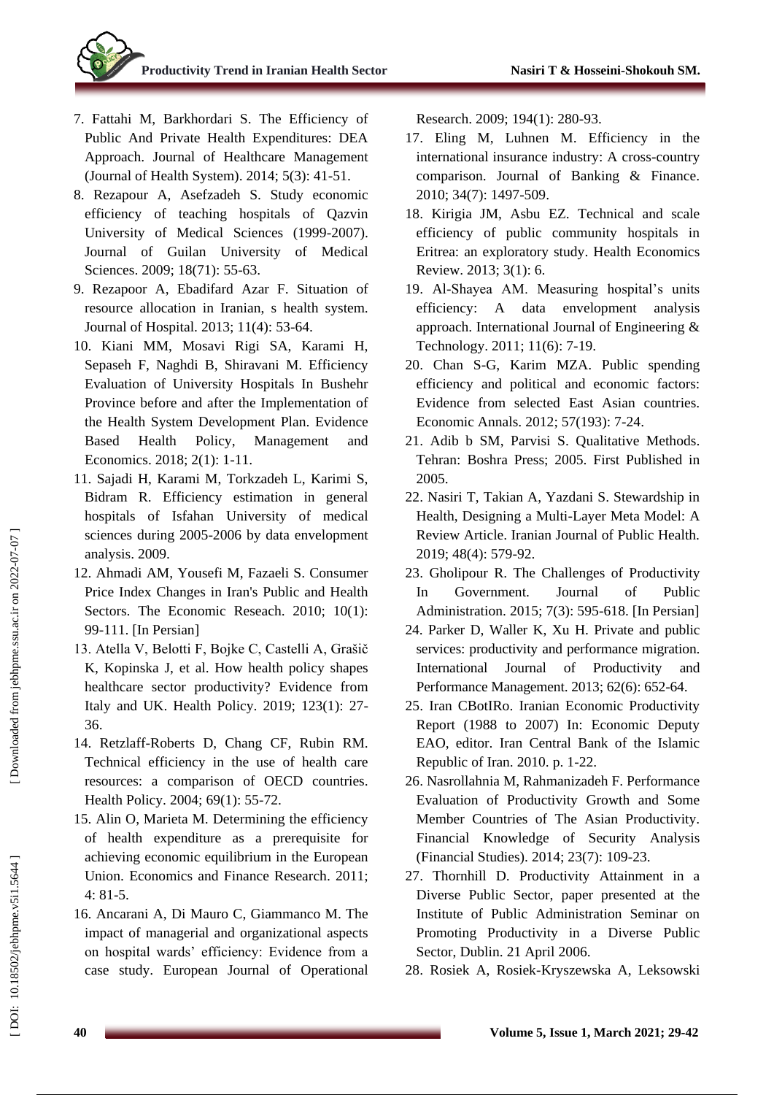- 7. Fattahi M, Barkhordari S. The Efficiency of Public And Private Health Expenditures: DEA Approach. Journal of Healthcare Management (Journal of Health System). 2014; 5(3): 41 -51.
- 8. Rezapour A, Asefzadeh S. Study economic efficiency of teaching hospitals of Qazvin University of Medical Sciences (1999-2007). Journal of Guilan University of Medical Sciences. 2009; 18(71): 55 -63.
- 9. Rezapoor A, Ebadifard Azar F. Situation of resource allocation in Iranian, s health system. Journal of Hospital. 2013; 11(4): 53 -64.
- 10. Kiani MM, Mosavi Rigi SA, Karami H, Sepaseh F, Naghdi B, Shiravani M. Efficiency Evaluation of University Hospitals In Bushehr Province before and after the Implementation of the Health System Development Plan. Evidence Based Health Policy, Management and Economics. 2018; 2(1): 1 -11.
- 11. Sajadi H, Karami M, Torkzadeh L, Karimi S, Bidram R. Efficiency estimation in general hospitals of Isfahan University of medical sciences during 2005 -2006 by data envelopment analysis. 2009.
- 12. Ahmadi AM, Yousefi M, Fazaeli S. Consumer Price Index Changes in Iran's Public and Health Sectors. The Economic Reseach. 2010; 10(1): 99 -111. [In Persian]
- 13. Atella V, Belotti F, Bojke C, Castelli A, Grašič K, Kopinska J, et al. How health policy shapes healthcare sector productivity? Evidence from Italy and UK. Health Policy. 2019; 123(1): 27 - 36.
- 14. Retzlaff-Roberts D, Chang CF, Rubin RM. Technical efficiency in the use of health care resources: a comparison of OECD countries. Health Policy. 2004; 69(1): 55 -72.
- 15. Alin O, Marieta M. Determining the efficiency of health expenditure as a prerequisite for achieving economic equilibrium in the European Union. Economics and Finance Research. 2011; 4: 81 -5.
- 16. Ancarani A, Di Mauro C, Giammanco M. The impact of managerial and organizational aspects on hospital wards' efficiency: Evidence from a case study. European Journal of Operational

Research. 2009; 194(1): 280 -93.

- 17. Eling M, Luhnen M. Efficiency in the international insurance industry: A cross -country comparison. Journal of Banking & Finance. 2010; 34(7): 1497 -509.
- 18. Kirigia JM, Asbu EZ. Technical and scale efficiency of public community hospitals in Eritrea: an exploratory study. Health Economics Review. 2013; 3(1): 6.
- 19. Al -Shayea AM. Measuring hospital's units efficiency: A data envelopment analysis approach. International Journal of Engineering & Technology. 2011; 11(6): 7 -19.
- 20. Chan S -G, Karim MZA. Public spending efficiency and political and economic factors: Evidence from selected East Asian countries. Economic Annals. 2012; 57(193): 7 -24.
- 21. Adib b SM, Parvisi S. Qualitative Methods. Tehran: Boshra Press; 2005. First Published in 2005.
- 22. Nasiri T, Takian A, Yazdani S. Stewardship in Health, Designing a Multi -Layer Meta Model: A Review Article. Iranian Journal of Public Health. 2019; 48(4): 579 -92.
- 23. Gholipour R. The Challenges of Productivity In Government. Journal of Public Administration. 2015; 7(3): 595 -618. [In Persian]
- 24. Parker D, Waller K, Xu H. Private and public services: productivity and performance migration. International Journal of Productivity and Performance Management. 2013; 62(6): 652 -64.
- 25. Iran CBotIRo. Iranian Economic Productivity Report (1988 to 2007) In: Economic Deputy EAO, editor. Iran Central Bank of the Islamic Republic of Iran. 2010. p. 1 -22.
- 26. Nasrollahnia M, Rahmanizadeh F. Performance Evaluation of Productivity Growth and Some Member Countries of The Asian Productivity. Financial Knowledge of Security Analysis (Financial Studies). 2014; 23(7): 109 -23.
- 27. Thornhill D. Productivity Attainment in a Diverse Public Sector, paper presented at the Institute of Public Administration Seminar on Promoting Productivity in a Diverse Public Sector, Dublin. 21 April 2006.
- 28. Rosiek A, Rosiek -Kryszewska A, Leksowski

Downloaded from jebhpme.ssu.ac.ir on 2022-07-07 ]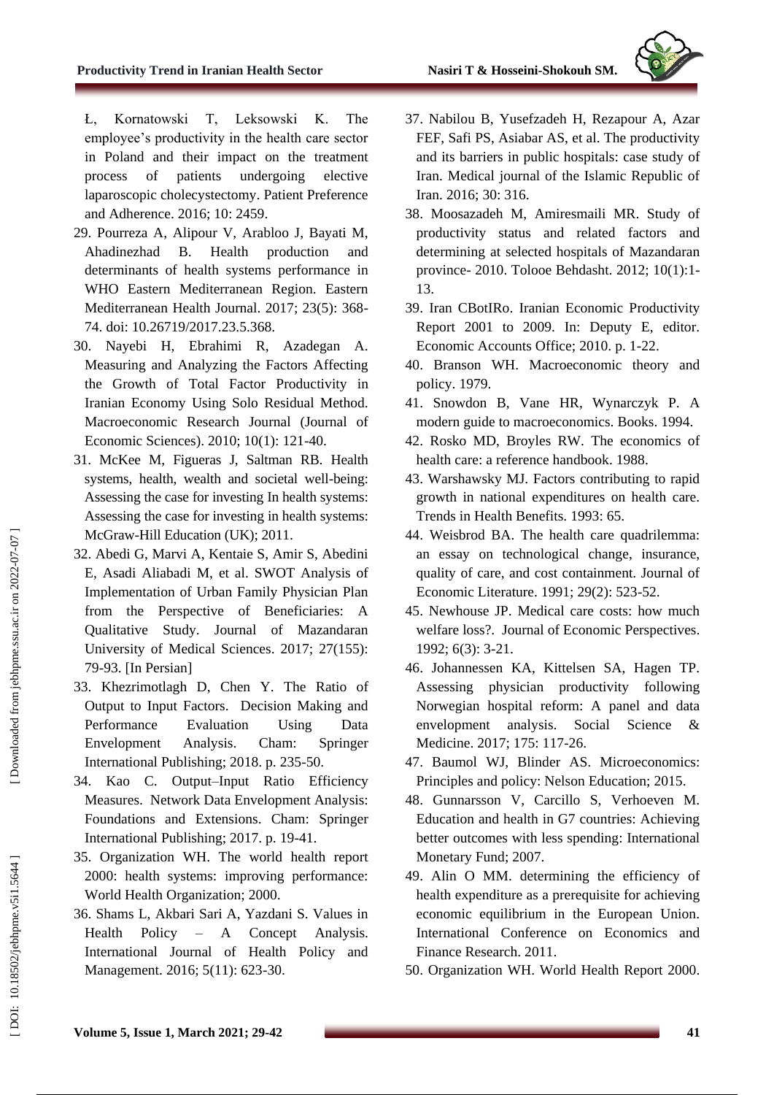

Ł, Kornatowski T, Leksowski K. The employee's productivity in the health care sector in Poland and their impact on the treatment process of patients undergoing elective laparoscopic cholecystectomy. Patient Preference and Adherence. 2016; 10: 2459.

- 29. Pourreza A, Alipour V, Arabloo J, Bayati M, Ahadinezhad B. Health production and determinants of health systems performance in WHO Eastern Mediterranean Region. Eastern Mediterranean Health Journal. 2017; 23(5): 368 - 74. doi: 10.26719/2017.23.5.368.
- 30. Nayebi H, Ebrahimi R, Azadegan A. Measuring and Analyzing the Factors Affecting the Growth of Total Factor Productivity in Iranian Economy Using Solo Residual Method. Macroeconomic Research Journal (Journal of Economic Sciences). 2010; 10(1): 121 -40.
- 31. McKee M, Figueras J, Saltman RB. Health systems, health, wealth and societal well -being: Assessing the case for investing In health systems: Assessing the case for investing in health systems: McGraw -Hill Education (UK); 2011.
- 32. Abedi G, Marvi A, Kentaie S, Amir S, Abedini E, Asadi Aliabadi M, et al. SWOT Analysis of Implementation of Urban Family Physician Plan from the Perspective of Beneficiaries: A Qualitative Study. Journal of Mazandaran University of Medical Sciences. 2017; 27(155): 79 -93. [In Persian]
- 33. Khezrimotlagh D, Chen Y. The Ratio of Output to Input Factors. Decision Making and Performance Evaluation Using Data Envelopment Analysis. Cham: Springer International Publishing; 2018. p. 235 -50.
- 34. Kao C. Output –Input Ratio Efficiency Measures. Network Data Envelopment Analysis: Foundations and Extensions. Cham: Springer International Publishing; 2017. p. 19 -41.
- 35. Organization WH. The world health report 2000: health systems: improving performance: World Health Organization; 2000.
- 36. Shams L, Akbari Sari A, Yazdani S. Values in Health Policy – A Concept Analysis. International Journal of Health Policy and Management. 2016; 5(11): 623 -30.
- 37. Nabilou B, Yusefzadeh H, Rezapour A, Azar FEF, Safi PS, Asiabar AS, et al. The productivity and its barriers in public hospitals: case study of Iran. Medical journal of the Islamic Republic of Iran. 2016; 30: 316.
- 38. Moosazadeh M, Amiresmaili MR. Study of productivity status and related factors and determining at selected hospitals of Mazandaran province - 2010. Tolooe Behdasht. 2012; 10(1):1 - 13.
- 39. Iran CBotIRo. Iranian Economic Productivity Report 2001 to 2009. In: Deputy E, editor. Economic Accounts Office; 2010. p. 1 -22.
- 40. Branson WH. Macroeconomic theory and policy. 1979.
- 41. Snowdon B, Vane HR, Wynarczyk P. A modern guide to macroeconomics. Books. 1994.
- 42. Rosko MD, Broyles RW. The economics of health care: a reference handbook. 1988.
- 43. Warshawsky MJ. Factors contributing to rapid growth in national expenditures on health care. Trends in Health Benefits. 1993: 65.
- 44. Weisbrod BA. The health care quadrilemma: an essay on technological change, insurance, quality of care, and cost containment. Journal of Economic Literature. 1991; 29(2): 523 -52.
- 45. Newhouse JP. Medical care costs: how much welfare loss?. Journal of Economic Perspectives. 1992; 6(3): 3 -21.
- 46. Johannessen KA, Kittelsen SA, Hagen TP. Assessing physician productivity following Norwegian hospital reform: A panel and data envelopment analysis. Social Science & Medicine. 2017; 175: 117 -26.
- 47. Baumol WJ, Blinder AS. Microeconomics: Principles and policy: Nelson Education; 2015.
- 48. Gunnarsson V, Carcillo S, Verhoeven M. Education and health in G7 countries: Achieving better outcomes with less spending: International Monetary Fund; 2007.
- 49. Alin O MM. determining the efficiency of health expenditure as a prerequisite for achieving economic equilibrium in the European Union. International Conference on Economics and Finance Research. 2011.
- 50. Organization WH. World Health Report 2000.